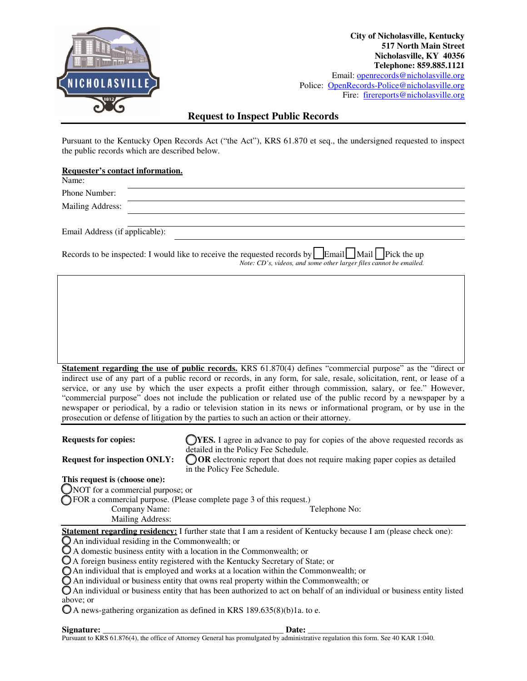

**City of Nicholasville, Kentucky 517 North Main Street Nicholasville, KY 40356 Telephone: 859.885.1121**  Email: openrecords@nicholasville.org Police: OpenRecords-Police@nicholasville.org Fire: firereports@nicholasville.org

## **Request to Inspect Public Records**

Pursuant to the Kentucky Open Records Act ("the Act"), KRS 61.870 et seq., the undersigned requested to inspect the public records which are described below.

## **Requester's contact information.**

| Name:                          |                                                                                                                                                                                                                                                                                                                                                              |  |
|--------------------------------|--------------------------------------------------------------------------------------------------------------------------------------------------------------------------------------------------------------------------------------------------------------------------------------------------------------------------------------------------------------|--|
| Phone Number:                  |                                                                                                                                                                                                                                                                                                                                                              |  |
| Mailing Address:               |                                                                                                                                                                                                                                                                                                                                                              |  |
|                                |                                                                                                                                                                                                                                                                                                                                                              |  |
| Email Address (if applicable): |                                                                                                                                                                                                                                                                                                                                                              |  |
|                                | $\overline{a}$ . $\overline{a}$ . $\overline{a}$ . $\overline{a}$ . $\overline{a}$ . $\overline{a}$ . $\overline{a}$<br>$\mathbf{r}$ and $\mathbf{r}$ are the set of the set of the set of the set of the set of the set of the set of the set of the set of the set of the set of the set of the set of the set of the set of the set of the set of the set |  |

Records to be inspected: I would like to receive the requested records by **Email** Mail Pick the up *Note: CD's, videos, and some other larger files cannot be emailed.* 

| <b>Statement regarding the use of public records.</b> KRS 61.870(4) defines "commercial purpose" as the "direct or       |
|--------------------------------------------------------------------------------------------------------------------------|
| indirect use of any part of a public record or records, in any form, for sale, resale, solicitation, rent, or lease of a |
| service, or any use by which the user expects a profit either through commission, salary, or fee." However,              |
| "commercial purpose" does not include the publication or related use of the public record by a newspaper by a            |
| newspaper or periodical, by a radio or television station in its news or informational program, or by use in the         |
| prosecution or defense of litigation by the parties to such an action or their attorney.                                 |

| <b>Requests for copies:</b>                                                                                             | <b>YES.</b> I agree in advance to pay for copies of the above requested records as<br>detailed in the Policy Fee Schedule. |  |  |  |
|-------------------------------------------------------------------------------------------------------------------------|----------------------------------------------------------------------------------------------------------------------------|--|--|--|
| <b>Request for inspection ONLY:</b>                                                                                     | ◯ OR electronic report that does not require making paper copies as detailed<br>in the Policy Fee Schedule.                |  |  |  |
| This request is (choose one):                                                                                           |                                                                                                                            |  |  |  |
| $\bigcirc$ NOT for a commercial purpose; or                                                                             |                                                                                                                            |  |  |  |
|                                                                                                                         | FOR a commercial purpose. (Please complete page 3 of this request.)                                                        |  |  |  |
| Company Name:                                                                                                           | Telephone No:                                                                                                              |  |  |  |
| Mailing Address:                                                                                                        |                                                                                                                            |  |  |  |
|                                                                                                                         | <b>Statement regarding residency:</b> I further state that I am a resident of Kentucky because I am (please check one):    |  |  |  |
| $\bigcirc$ An individual residing in the Commonwealth; or                                                               |                                                                                                                            |  |  |  |
| $\mathbb O$ A domestic business entity with a location in the Commonwealth; or                                          |                                                                                                                            |  |  |  |
| O A foreign business entity registered with the Kentucky Secretary of State; or                                         |                                                                                                                            |  |  |  |
| O An individual that is employed and works at a location within the Commonwealth; or                                    |                                                                                                                            |  |  |  |
| $\bigcirc$ An individual or business entity that owns real property within the Commonwealth; or                         |                                                                                                                            |  |  |  |
| O An individual or business entity that has been authorized to act on behalf of an individual or business entity listed |                                                                                                                            |  |  |  |
| above; or                                                                                                               |                                                                                                                            |  |  |  |
|                                                                                                                         | $\mathbb{O}$ A news-gathering organization as defined in KRS 189.635(8)(b)1a. to e.                                        |  |  |  |
| Signature:                                                                                                              | Date:                                                                                                                      |  |  |  |

Pursuant to KRS 61.876(4), the office of Attorney General has promulgated by administrative regulation this form. See 40 KAR 1:040.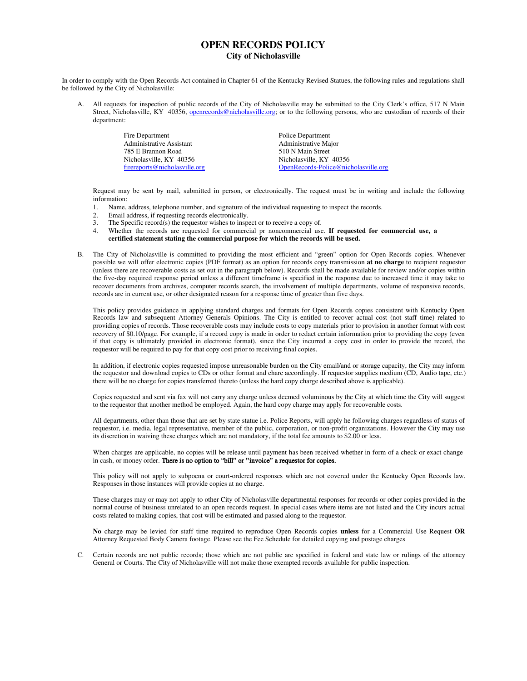## **OPEN RECORDS POLICY City of Nicholasville**

In order to comply with the Open Records Act contained in Chapter 61 of the Kentucky Revised Statues, the following rules and regulations shall be followed by the City of Nicholasville:

A. All requests for inspection of public records of the City of Nicholasville may be submitted to the City Clerk's office, 517 N Main Street, Nicholasville, KY 40356, openrecords@nicholasville.org; or to the following persons, who are custodian of records of their department:

> Fire Department<br>
> Administrative Assistant<br>
> Administrative Major<br>
> Administrative Major Administrative Assistant 785 E Brannon Road<br>
> Nicholasville, KY 40356<br>
> Nicholasville, KY 40356<br>
> Nicholasville, KY Nicholasville, KY 40356 firereports@nicholasville.org OpenRecords-Police@nicholasville.org

Request may be sent by mail, submitted in person, or electronically. The request must be in writing and include the following information:

- 1. Name, address, telephone number, and signature of the individual requesting to inspect the records.
- 2. Email address, if requesting records electronically.<br>
The Specific record(s) the requestor wishes to insp.
- 3. The Specific record(s) the requestor wishes to inspect or to receive a copy of.<br>4. Whether the records are requested for commercial or noncommercial use
- 4. Whether the records are requested for commercial pr noncommercial use. **If requested for commercial use, a certified statement stating the commercial purpose for which the records will be used.**
- B. The City of Nicholasville is committed to providing the most efficient and "green" option for Open Records copies. Whenever possible we will offer electronic copies (PDF format) as an option for records copy transmission **at no charge** to recipient requestor (unless there are recoverable costs as set out in the paragraph below). Records shall be made available for review and/or copies within the five-day required response period unless a different timeframe is specified in the response due to increased time it may take to recover documents from archives, computer records search, the involvement of multiple departments, volume of responsive records, records are in current use, or other designated reason for a response time of greater than five days.

This policy provides guidance in applying standard charges and formats for Open Records copies consistent with Kentucky Open Records law and subsequent Attorney Generals Opinions. The City is entitled to recover actual cost (not staff time) related to providing copies of records. Those recoverable costs may include costs to copy materials prior to provision in another format with cost recovery of \$0.10/page. For example, if a record copy is made in order to redact certain information prior to providing the copy (even if that copy is ultimately provided in electronic format), since the City incurred a copy cost in order to provide the record, the requestor will be required to pay for that copy cost prior to receiving final copies.

In addition, if electronic copies requested impose unreasonable burden on the City email/and or storage capacity, the City may inform the requestor and download copies to CDs or other format and chare accordingly. If requestor supplies medium (CD, Audio tape, etc.) there will be no charge for copies transferred thereto (unless the hard copy charge described above is applicable).

Copies requested and sent via fax will not carry any charge unless deemed voluminous by the City at which time the City will suggest to the requestor that another method be employed. Again, the hard copy charge may apply for recoverable costs.

All departments, other than those that are set by state statue i.e. Police Reports, will apply he following charges regardless of status of requestor, i.e. media, legal representative, member of the public, corporation, or non-profit organizations. However the City may use its discretion in waiving these charges which are not mandatory, if the total fee amounts to \$2.00 or less.

When charges are applicable, no copies will be release until payment has been received whether in form of a check or exact change in cash, or money order. There is no option to "bill" or **"**invoice" a requestor for copies.

This policy will not apply to subpoena or court-ordered responses which are not covered under the Kentucky Open Records law. Responses in those instances will provide copies at no charge.

These charges may or may not apply to other City of Nicholasville departmental responses for records or other copies provided in the normal course of business unrelated to an open records request. In special cases where items are not listed and the City incurs actual costs related to making copies, that cost will be estimated and passed along to the requestor.

**No** charge may be levied for staff time required to reproduce Open Records copies **unless** for a Commercial Use Request **OR** Attorney Requested Body Camera footage. Please see the Fee Schedule for detailed copying and postage charges

C. Certain records are not public records; those which are not public are specified in federal and state law or rulings of the attorney General or Courts. The City of Nicholasville will not make those exempted records available for public inspection.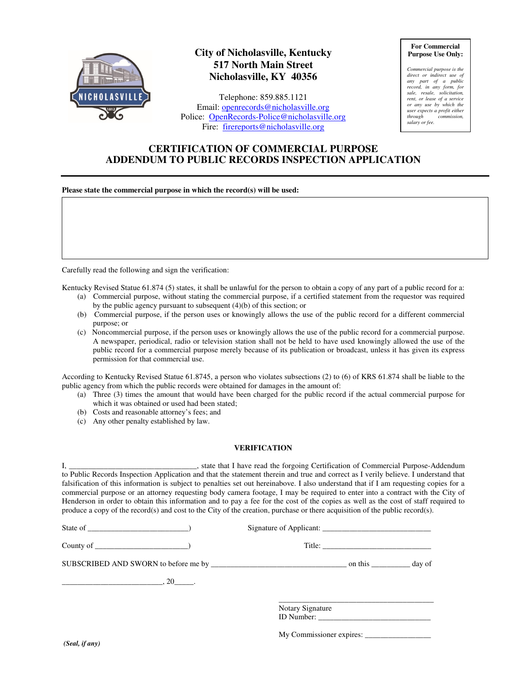

# **City of Nicholasville, Kentucky 517 North Main Street Nicholasville, KY 40356**

Telephone: 859.885.1121 Email: openrecords@nicholasville.org Police: OpenRecords-Police@nicholasville.org Fire: firereports@nicholasville.org

**For Commercial Purpose Use Only:** 

*Commercial purpose is the direct or indirect use of any part of a public record, in any form, for sale, resale, solicitation, rent, or lease of a service or any use by which the user expects a profit either*   $commission$ , *salary or fee.* 

## **CERTIFICATION OF COMMERCIAL PURPOSE ADDENDUM TO PUBLIC RECORDS INSPECTION APPLICATION**

### **Please state the commercial purpose in which the record(s) will be used:**

Carefully read the following and sign the verification:

Kentucky Revised Statue 61.874 (5) states, it shall be unlawful for the person to obtain a copy of any part of a public record for a:

- (a) Commercial purpose, without stating the commercial purpose, if a certified statement from the requestor was required by the public agency pursuant to subsequent (4)(b) of this section; or
- (b) Commercial purpose, if the person uses or knowingly allows the use of the public record for a different commercial purpose; or
- (c) Noncommercial purpose, if the person uses or knowingly allows the use of the public record for a commercial purpose. A newspaper, periodical, radio or television station shall not be held to have used knowingly allowed the use of the public record for a commercial purpose merely because of its publication or broadcast, unless it has given its express permission for that commercial use.

According to Kentucky Revised Statue 61.8745, a person who violates subsections (2) to (6) of KRS 61.874 shall be liable to the public agency from which the public records were obtained for damages in the amount of:

- (a) Three (3) times the amount that would have been charged for the public record if the actual commercial purpose for which it was obtained or used had been stated;
- (b) Costs and reasonable attorney's fees; and
- (c) Any other penalty established by law.

#### **VERIFICATION**

| to Public Records Inspection Application and that the statement therein and true and correct as I verily believe. I understand that<br>falsification of this information is subject to penalties set out hereinabove. I also understand that if I am requesting copies for a<br>commercial purpose or an attorney requesting body camera footage, I may be required to enter into a contract with the City of<br>Henderson in order to obtain this information and to pay a fee for the cost of the copies as well as the cost of staff required to<br>produce a copy of the record(s) and cost to the City of the creation, purchase or there acquisition of the public record(s). |                         |  |
|-------------------------------------------------------------------------------------------------------------------------------------------------------------------------------------------------------------------------------------------------------------------------------------------------------------------------------------------------------------------------------------------------------------------------------------------------------------------------------------------------------------------------------------------------------------------------------------------------------------------------------------------------------------------------------------|-------------------------|--|
| State of $\qquad \qquad$ (State of $\qquad \qquad$ )                                                                                                                                                                                                                                                                                                                                                                                                                                                                                                                                                                                                                                | Signature of Applicant: |  |
| County of $\qquad \qquad$ (200 m)                                                                                                                                                                                                                                                                                                                                                                                                                                                                                                                                                                                                                                                   |                         |  |
|                                                                                                                                                                                                                                                                                                                                                                                                                                                                                                                                                                                                                                                                                     |                         |  |
| $\overbrace{\hspace{2.5cm}}^{20}$ , $\overbrace{\hspace{2.5cm}}^{20}$ .                                                                                                                                                                                                                                                                                                                                                                                                                                                                                                                                                                                                             |                         |  |
|                                                                                                                                                                                                                                                                                                                                                                                                                                                                                                                                                                                                                                                                                     | Notary Signature        |  |

ID Number:

My Commissioner expires: \_\_\_\_\_\_\_\_\_\_\_\_\_\_\_\_\_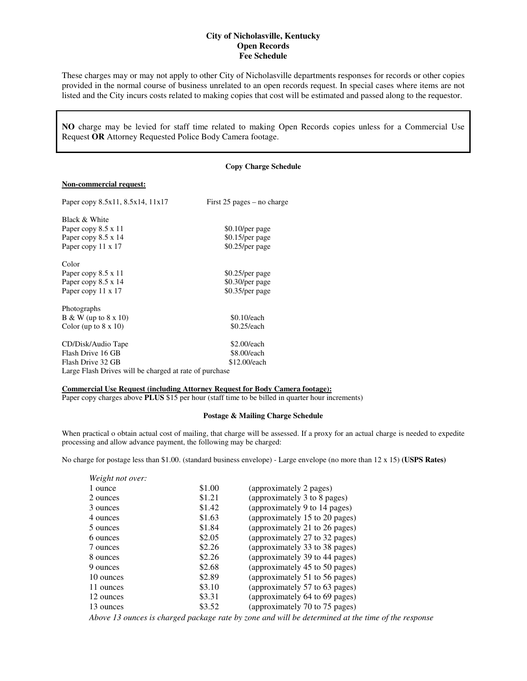### **City of Nicholasville, Kentucky Open Records Fee Schedule**

These charges may or may not apply to other City of Nicholasville departments responses for records or other copies provided in the normal course of business unrelated to an open records request. In special cases where items are not listed and the City incurs costs related to making copies that cost will be estimated and passed along to the requestor.

**NO** charge may be levied for staff time related to making Open Records copies unless for a Commercial Use Request **OR** Attorney Requested Police Body Camera footage.

#### **Copy Charge Schedule**

### **Non-commercial request:**

| Paper copy 8.5x11, 8.5x14, 11x17                       | First $25$ pages – no charge |
|--------------------------------------------------------|------------------------------|
| Black & White                                          |                              |
| Paper copy 8.5 x 11                                    | \$0.10/per page              |
| Paper copy 8.5 x 14                                    | \$0.15/per page              |
| Paper copy 11 x 17                                     | \$0.25/per page              |
| Color                                                  |                              |
| Paper copy 8.5 x 11                                    | $$0.25/per$ page             |
| Paper copy 8.5 x 14                                    | \$0.30/per page              |
| Paper copy 11 x 17                                     | \$0.35/per page              |
| Photographs                                            |                              |
| B & W (up to $8 \times 10$ )                           | \$0.10/each                  |
| Color (up to $8 \times 10$ )                           | $$0.25$ /each                |
| CD/Disk/Audio Tape                                     | \$2.00/each                  |
| Flash Drive 16 GB                                      | \$8.00/each                  |
| Flash Drive 32 GB                                      | \$12.00/each                 |
| Large Flash Drives will be charged at rate of purchase |                              |

#### **Commercial Use Request (including Attorney Request for Body Camera footage):**

Paper copy charges above **PLUS** \$15 per hour (staff time to be billed in quarter hour increments)

### **Postage & Mailing Charge Schedule**

When practical o obtain actual cost of mailing, that charge will be assessed. If a proxy for an actual charge is needed to expedite processing and allow advance payment, the following may be charged:

No charge for postage less than \$1.00. (standard business envelope) - Large envelope (no more than 12 x 15) **(USPS Rates)** 

| Weight not over: |        |                                |
|------------------|--------|--------------------------------|
| 1 ounce          | \$1.00 | (approximately 2 pages)        |
| 2 ounces         | \$1.21 | (approximately 3 to 8 pages)   |
| 3 ounces         | \$1.42 | (approximately 9 to 14 pages)  |
| 4 ounces         | \$1.63 | (approximately 15 to 20 pages) |
| 5 ounces         | \$1.84 | (approximately 21 to 26 pages) |
| 6 ounces         | \$2.05 | (approximately 27 to 32 pages) |
| 7 ounces         | \$2.26 | (approximately 33 to 38 pages) |
| 8 ounces         | \$2.26 | (approximately 39 to 44 pages) |
| 9 ounces         | \$2.68 | (approximately 45 to 50 pages) |
| 10 ounces        | \$2.89 | (approximately 51 to 56 pages) |
| 11 ounces        | \$3.10 | (approximately 57 to 63 pages) |
| 12 ounces        | \$3.31 | (approximately 64 to 69 pages) |
| 13 ounces        | \$3.52 | (approximately 70 to 75 pages) |

*Above 13 ounces is charged package rate by zone and will be determined at the time of the response*